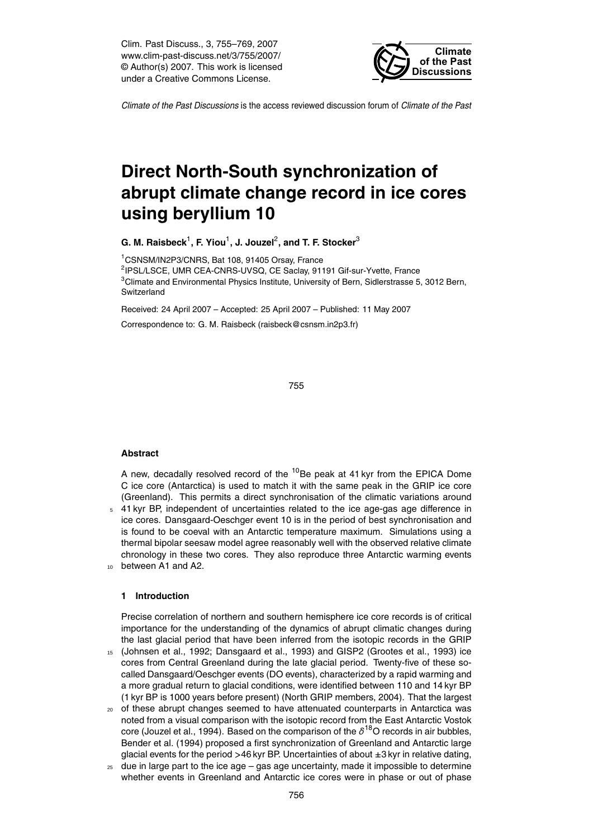Clim. Past Discuss., 3, 755–769, 2007 www.clim-past-discuss.net/3/755/2007/ © Author(s) 2007. This work is licensed under a Creative Commons License.



*Climate of the Past Discussions* is the access reviewed discussion forum of *Climate of the Past*

# **Direct North-South synchronization of abrupt climate change record in ice cores using beryllium 10**

 $\,$ G. M. Raisbeck $^1$ , F. Yiou $^1$ , J. Jouzel $^2$ , and T. F. Stocker $^3$ 

<sup>1</sup>CSNSM/IN2P3/CNRS, Bat 108, 91405 Orsay, France <sup>2</sup>IPSL/LSCE, UMR CEA-CNRS-UVSQ, CE Saclay, 91191 Gif-sur-Yvette, France <sup>3</sup>Climate and Environmental Physics Institute, University of Bern, Sidlerstrasse 5, 3012 Bern, Switzerland

Received: 24 April 2007 – Accepted: 25 April 2007 – Published: 11 May 2007

Correspondence to: G. M. Raisbeck (raisbeck@csnsm.in2p3.fr)

755

# **Abstract**

A new, decadally resolved record of the  $10$ Be peak at 41 kyr from the EPICA Dome C ice core (Antarctica) is used to match it with the same peak in the GRIP ice core (Greenland). This permits a direct synchronisation of the climatic variations around <sup>5</sup> 41 kyr BP, independent of uncertainties related to the ice age-gas age difference in ice cores. Dansgaard-Oeschger event 10 is in the period of best synchronisation and is found to be coeval with an Antarctic temperature maximum. Simulations using a thermal bipolar seesaw model agree reasonably well with the observed relative climate chronology in these two cores. They also reproduce three Antarctic warming events

<sup>10</sup> between A1 and A2.

# **1 Introduction**

Precise correlation of northern and southern hemisphere ice core records is of critical importance for the understanding of the dynamics of abrupt climatic changes during the last glacial period that have been inferred from the isotopic records in the GRIP

- <sup>15</sup> (Johnsen et al., 1992; Dansgaard et al., 1993) and GISP2 (Grootes et al., 1993) ice cores from Central Greenland during the late glacial period. Twenty-five of these socalled Dansgaard/Oeschger events (DO events), characterized by a rapid warming and a more gradual return to glacial conditions, were identified between 110 and 14 kyr BP (1 kyr BP is 1000 years before present) (North GRIP members, 2004). That the largest
- <sup>20</sup> of these abrupt changes seemed to have attenuated counterparts in Antarctica was noted from a visual comparison with the isotopic record from the East Antarctic Vostok core (Jouzel et al., 1994). Based on the comparison of the  $\delta^{18}$ O records in air bubbles, Bender et al. (1994) proposed a first synchronization of Greenland and Antarctic large glacial events for the period *>*46 kyr BP. Uncertainties of about ±3 kyr in relative dating,
- $25$  due in large part to the ice age gas age uncertainty, made it impossible to determine whether events in Greenland and Antarctic ice cores were in phase or out of phase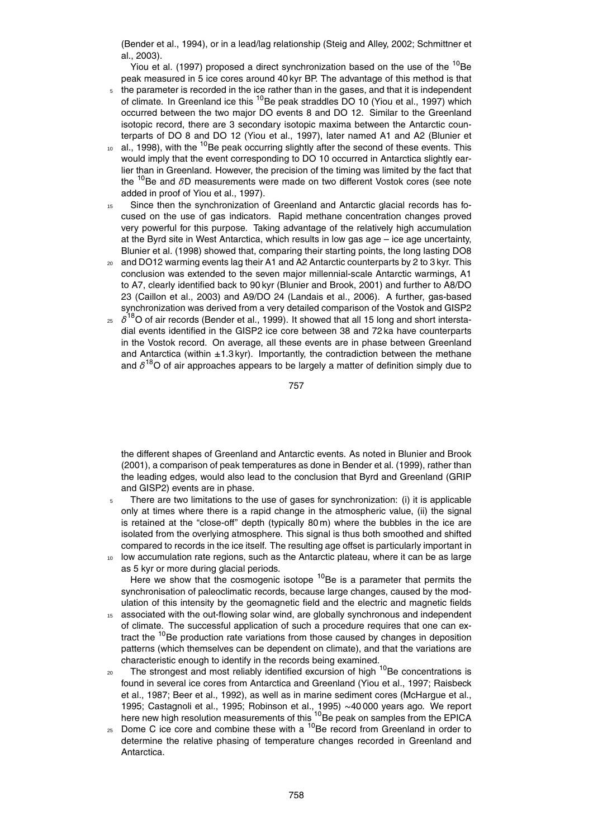(Bender et al., 1994), or in a lead/lag relationship (Steig and Alley, 2002; Schmittner et al., 2003).

Yiou et al. (1997) proposed a direct synchronization based on the use of the  $^{10}$ Be peak measured in 5 ice cores around 40 kyr BP. The advantage of this method is that

- the parameter is recorded in the ice rather than in the gases, and that it is independent of climate. In Greenland ice this <sup>10</sup>Be peak straddles DO 10 (Yiou et al., 1997) which occurred between the two major DO events 8 and DO 12. Similar to the Greenland isotopic record, there are 3 secondary isotopic maxima between the Antarctic counterparts of DO 8 and DO 12 (Yiou et al., 1997), later named A1 and A2 (Blunier et
- $10$  al., 1998), with the  $10$ Be peak occurring slightly after the second of these events. This would imply that the event corresponding to DO 10 occurred in Antarctica slightly earlier than in Greenland. However, the precision of the timing was limited by the fact that the <sup>10</sup>Be and *δ*D measurements were made on two different Vostok cores (see note added in proof of Yiou et al., 1997).
- <sup>15</sup> Since then the synchronization of Greenland and Antarctic glacial records has focused on the use of gas indicators. Rapid methane concentration changes proved very powerful for this purpose. Taking advantage of the relatively high accumulation at the Byrd site in West Antarctica, which results in low gas age – ice age uncertainty, Blunier et al. (1998) showed that, comparing their starting points, the long lasting DO8
- <sup>20</sup> and DO12 warming events lag their A1 and A2 Antarctic counterparts by 2 to 3 kyr. This conclusion was extended to the seven major millennial-scale Antarctic warmings, A1 to A7, clearly identified back to 90 kyr (Blunier and Brook, 2001) and further to A8/DO 23 (Caillon et al., 2003) and A9/DO 24 (Landais et al., 2006). A further, gas-based synchronization was derived from a very detailed comparison of the Vostok and GISP2
- $25 \times \delta^{18}$ O of air records (Bender et al., 1999). It showed that all 15 long and short interstadial events identified in the GISP2 ice core between 38 and 72 ka have counterparts in the Vostok record. On average, all these events are in phase between Greenland and Antarctica (within  $\pm 1.3$  kyr). Importantly, the contradiction between the methane and *δ* <sup>18</sup>O of air approaches appears to be largely a matter of definition simply due to

757

the different shapes of Greenland and Antarctic events. As noted in Blunier and Brook (2001), a comparison of peak temperatures as done in Bender et al. (1999), rather than the leading edges, would also lead to the conclusion that Byrd and Greenland (GRIP and GISP2) events are in phase.

- $5$  There are two limitations to the use of gases for synchronization: (i) it is applicable only at times where there is a rapid change in the atmospheric value, (ii) the signal is retained at the "close-off" depth (typically 80 m) where the bubbles in the ice are isolated from the overlying atmosphere. This signal is thus both smoothed and shifted compared to records in the ice itself. The resulting age offset is particularly important in
- <sup>10</sup> low accumulation rate regions, such as the Antarctic plateau, where it can be as large as 5 kyr or more during glacial periods.

Here we show that the cosmogenic isotope  $10$ Be is a parameter that permits the synchronisation of paleoclimatic records, because large changes, caused by the modulation of this intensity by the geomagnetic field and the electric and magnetic fields

- <sup>15</sup> associated with the out-flowing solar wind, are globally synchronous and independent of climate. The successful application of such a procedure requires that one can extract the <sup>10</sup>Be production rate variations from those caused by changes in deposition patterns (which themselves can be dependent on climate), and that the variations are characteristic enough to identify in the records being examined.
- 20 The strongest and most reliably identified excursion of high <sup>10</sup>Be concentrations is found in several ice cores from Antarctica and Greenland (Yiou et al., 1997; Raisbeck et al., 1987; Beer et al., 1992), as well as in marine sediment cores (McHargue et al., 1995; Castagnoli et al., 1995; Robinson et al., 1995) ∼40 000 years ago. We report here new high resolution measurements of this <sup>10</sup>Be peak on samples from the EPICA
- $_{25}$  Dome C ice core and combine these with a  $^{10}$ Be record from Greenland in order to determine the relative phasing of temperature changes recorded in Greenland and Antarctica.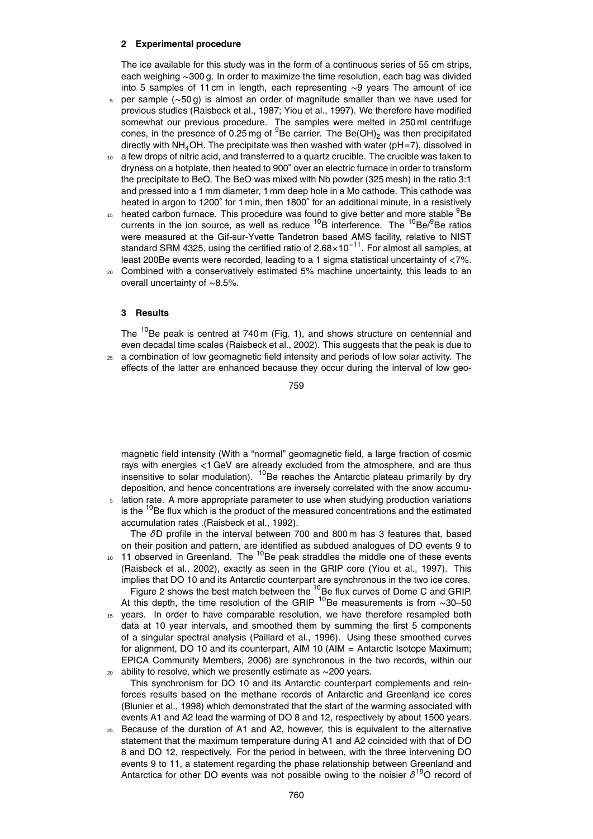# **2 Experimental procedure**

The ice available for this study was in the form of a continuous series of 55 cm strips, each weighing ∼300 g. In order to maximize the time resolution, each bag was divided into 5 samples of 11 cm in length, each representing ∼9 years The amount of ice

- <sup>5</sup> per sample (∼50 g) is almost an order of magnitude smaller than we have used for previous studies (Raisbeck et al., 1987; Yiou et al., 1997). We therefore have modified somewhat our previous procedure. The samples were melted in 250 ml centrifuge cones, in the presence of 0.25 mg of  $9B$ e carrier. The Be(OH)<sub>2</sub> was then precipitated directly with  $NH<sub>4</sub>OH$ . The precipitate was then washed with water ( $pH=7$ ), dissolved in
- <sup>10</sup> a few drops of nitric acid, and transferred to a quartz crucible. The crucible was taken to dryness on a hotplate, then heated to 900 $^{\circ}$  over an electric furnace in order to transform the precipitate to BeO. The BeO was mixed with Nb powder (325 mesh) in the ratio 3:1 and pressed into a 1 mm diameter, 1 mm deep hole in a Mo cathode. This cathode was heated in argon to 1200° for 1 min, then 1800° for an additional minute, in a resistively
- $15$  heated carbon furnace. This procedure was found to give better and more stable  $9Be$ currents in the ion source, as well as reduce  $^{10}$ B interference. The  $^{10}$ Be/ $^{9}$ Be ratios were measured at the Gif-sur-Yvette Tandetron based AMS facility, relative to NIST standard SRM 4325, using the certified ratio of 2.68×10−11. For almost all samples, at least 200Be events were recorded, leading to a 1 sigma statistical uncertainty of *<*7%.
- <sup>20</sup> Combined with a conservatively estimated 5% machine uncertainty, this leads to an overall uncertainty of ∼8.5%.

# **3 Results**

The  $10B$ e peak is centred at 740 m (Fig. 1), and shows structure on centennial and even decadal time scales (Raisbeck et al., 2002). This suggests that the peak is due to  $25$  a combination of low geomagnetic field intensity and periods of low solar activity. The

effects of the latter are enhanced because they occur during the interval of low geo-

759

magnetic field intensity (With a "normal" geomagnetic field, a large fraction of cosmic rays with energies *<*1 GeV are already excluded from the atmosphere, and are thus insensitive to solar modulation).  $^{10}$ Be reaches the Antarctic plateau primarily by dry deposition, and hence concentrations are inversely correlated with the snow accumu-

lation rate. A more appropriate parameter to use when studying production variations is the  $10B$ e flux which is the product of the measured concentrations and the estimated accumulation rates .(Raisbeck et al., 1992).

The *δ*D profile in the interval between 700 and 800 m has 3 features that, based on their position and pattern, are identified as subdued analogues of DO events 9 to

- $11$  observed in Greenland. The  $10$ Be peak straddles the middle one of these events (Raisbeck et al., 2002), exactly as seen in the GRIP core (Yiou et al., 1997). This implies that DO 10 and its Antarctic counterpart are synchronous in the two ice cores. Figure 2 shows the best match between the  $^{10}$ Be flux curves of Dome C and GRIP. At this depth, the time resolution of the GRIP <sup>10</sup>Be measurements is from ∼30–50
- 15 years. In order to have comparable resolution, we have therefore resampled both data at 10 year intervals, and smoothed them by summing the first 5 components of a singular spectral analysis (Paillard et al., 1996). Using these smoothed curves for alignment, DO 10 and its counterpart, AIM 10 (AIM = Antarctic Isotope Maximum; EPICA Community Members, 2006) are synchronous in the two records, within our <sup>20</sup> ability to resolve, which we presently estimate as ∼200 years.
- This synchronism for DO 10 and its Antarctic counterpart complements and reinforces results based on the methane records of Antarctic and Greenland ice cores (Blunier et al., 1998) which demonstrated that the start of the warming associated with events A1 and A2 lead the warming of DO 8 and 12, respectively by about 1500 years.
- <sup>25</sup> Because of the duration of A1 and A2, however, this is equivalent to the alternative statement that the maximum temperature during A1 and A2 coincided with that of DO 8 and DO 12, respectively. For the period in between, with the three intervening DO events 9 to 11, a statement regarding the phase relationship between Greenland and Antarctica for other DO events was not possible owing to the noisier  $\delta^{18}$ O record of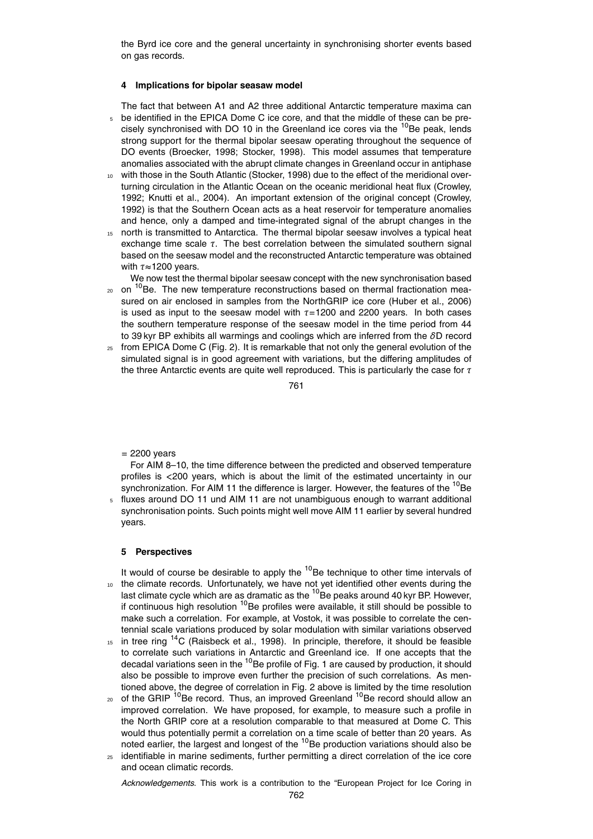the Byrd ice core and the general uncertainty in synchronising shorter events based on gas records.

#### **4 Implications for bipolar seasaw model**

The fact that between A1 and A2 three additional Antarctic temperature maxima can <sup>5</sup> be identified in the EPICA Dome C ice core, and that the middle of these can be precisely synchronised with DO 10 in the Greenland ice cores via the  ${}^{10}$ Be peak, lends strong support for the thermal bipolar seesaw operating throughout the sequence of DO events (Broecker, 1998; Stocker, 1998). This model assumes that temperature anomalies associated with the abrupt climate changes in Greenland occur in antiphase

- with those in the South Atlantic (Stocker, 1998) due to the effect of the meridional overturning circulation in the Atlantic Ocean on the oceanic meridional heat flux (Crowley, 1992; Knutti et al., 2004). An important extension of the original concept (Crowley, 1992) is that the Southern Ocean acts as a heat reservoir for temperature anomalies and hence, only a damped and time-integrated signal of the abrupt changes in the
- <sup>15</sup> north is transmitted to Antarctica. The thermal bipolar seesaw involves a typical heat exchange time scale *τ*. The best correlation between the simulated southern signal based on the seesaw model and the reconstructed Antarctic temperature was obtained with *τ*≈1200 years.

We now test the thermal bipolar seesaw concept with the new synchronisation based

- <sub>20</sub> on <sup>10</sup>Be. The new temperature reconstructions based on thermal fractionation measured on air enclosed in samples from the NorthGRIP ice core (Huber et al., 2006) is used as input to the seesaw model with *τ*=1200 and 2200 years. In both cases the southern temperature response of the seesaw model in the time period from 44 to 39 kyr BP exhibits all warmings and coolings which are inferred from the *δ*D record
- $25$  from EPICA Dome C (Fig. 2). It is remarkable that not only the general evolution of the simulated signal is in good agreement with variations, but the differing amplitudes of the three Antarctic events are quite well reproduced. This is particularly the case for *τ*

761

 $= 2200$  years

For AIM 8–10, the time difference between the predicted and observed temperature profiles is *<*200 years, which is about the limit of the estimated uncertainty in our synchronization. For AIM 11 the difference is larger. However, the features of the <sup>10</sup>Be

fluxes around DO 11 und AIM 11 are not unambiguous enough to warrant additional synchronisation points. Such points might well move AIM 11 earlier by several hundred years.

#### **5 Perspectives**

It would of course be desirable to apply the  $10B$  technique to other time intervals of the climate records. Unfortunately, we have not yet identified other events during the last climate cycle which are as dramatic as the <sup>10</sup>Be peaks around 40 kyr BP. However, if continuous high resolution  $10$ Be profiles were available, it still should be possible to make such a correlation. For example, at Vostok, it was possible to correlate the centennial scale variations produced by solar modulation with similar variations observed

- $15$  in tree ring  $14$ C (Raisbeck et al., 1998). In principle, therefore, it should be feasible to correlate such variations in Antarctic and Greenland ice. If one accepts that the decadal variations seen in the  $10$ Be profile of Fig. 1 are caused by production, it should also be possible to improve even further the precision of such correlations. As mentioned above, the degree of correlation in Fig. 2 above is limited by the time resolution
- <sub>20</sub> of the GRIP <sup>10</sup>Be record. Thus, an improved Greenland <sup>10</sup>Be record should allow an improved correlation. We have proposed, for example, to measure such a profile in the North GRIP core at a resolution comparable to that measured at Dome C. This would thus potentially permit a correlation on a time scale of better than 20 years. As noted earlier, the largest and longest of the <sup>10</sup>Be production variations should also be
- <sup>25</sup> identifiable in marine sediments, further permitting a direct correlation of the ice core and ocean climatic records.

*Acknowledgements.* This work is a contribution to the "European Project for Ice Coring in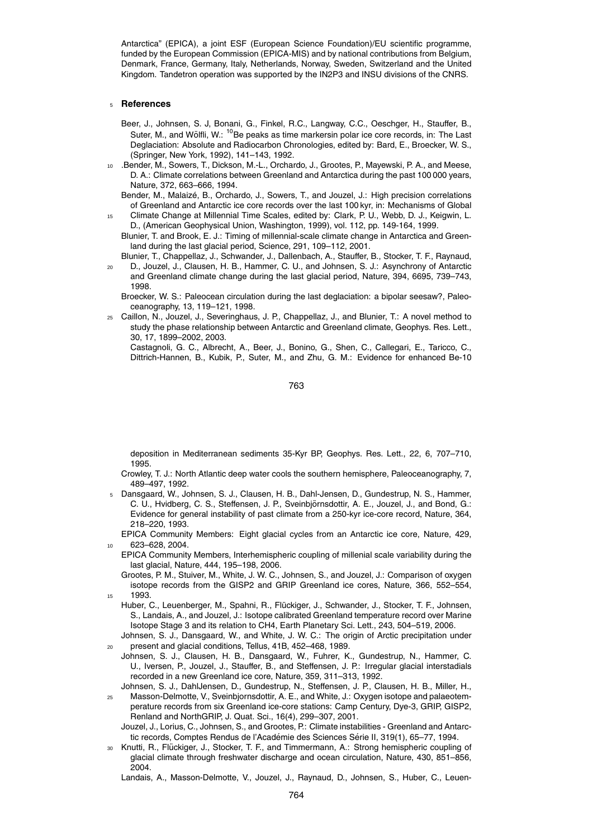Antarctica" (EPICA), a joint ESF (European Science Foundation)/EU scientific programme, funded by the European Commission (EPICA-MIS) and by national contributions from Belgium, Denmark, France, Germany, Italy, Netherlands, Norway, Sweden, Switzerland and the United Kingdom. Tandetron operation was supported by the IN2P3 and INSU divisions of the CNRS.

#### <sup>5</sup> **References**

- Beer, J., Johnsen, S. J, Bonani, G., Finkel, R.C., Langway, C.C., Oeschger, H., Stauffer, B., Suter, M., and Wölfli, W.: <sup>10</sup>Be peaks as time markersin polar ice core records, in: The Last Deglaciation: Absolute and Radiocarbon Chronologies, edited by: Bard, E., Broecker, W. S., (Springer, New York, 1992), 141–143, 1992.
- <sup>10</sup> .Bender, M., Sowers, T., Dickson, M.-L., Orchardo, J., Grootes, P., Mayewski, P. A., and Meese, D. A.: Climate correlations between Greenland and Antarctica during the past 100 000 years, Nature, 372, 663–666, 1994.
- Bender, M., Malaizé, B., Orchardo, J., Sowers, T., and Jouzel, J.: High precision correlations of Greenland and Antarctic ice core records over the last 100 kyr, in: Mechanisms of Global <sup>15</sup> Climate Change at Millennial Time Scales, edited by: Clark, P. U., Webb, D. J., Keigwin, L.
- D., (American Geophysical Union, Washington, 1999), vol. 112, pp. 149-164, 1999.
	- Blunier, T. and Brook, E. J.: Timing of millennial-scale climate change in Antarctica and Greenland during the last glacial period, Science, 291, 109–112, 2001.
- Blunier, T., Chappellaz, J., Schwander, J., Dallenbach, A., Stauffer, B., Stocker, T. F., Raynaud,
- <sup>20</sup> D., Jouzel, J., Clausen, H. B., Hammer, C. U., and Johnsen, S. J.: Asynchrony of Antarctic and Greenland climate change during the last glacial period, Nature, 394, 6695, 739–743, 1998.
	- Broecker, W. S.: Paleocean circulation during the last deglaciation: a bipolar seesaw?, Paleoceanography, 13, 119–121, 1998.
- <sup>25</sup> Caillon, N., Jouzel, J., Severinghaus, J. P., Chappellaz, J., and Blunier, T.: A novel method to study the phase relationship between Antarctic and Greenland climate, Geophys. Res. Lett., 30, 17, 1899–2002, 2003.

Castagnoli, G. C., Albrecht, A., Beer, J., Bonino, G., Shen, C., Callegari, E., Taricco, C., Dittrich-Hannen, B., Kubik, P., Suter, M., and Zhu, G. M.: Evidence for enhanced Be-10

763

deposition in Mediterranean sediments 35-Kyr BP, Geophys. Res. Lett., 22, 6, 707–710, 1995.

- Crowley, T. J.: North Atlantic deep water cools the southern hemisphere, Paleoceanography, 7, 489–497, 1992.
- <sup>5</sup> Dansgaard, W., Johnsen, S. J., Clausen, H. B., Dahl-Jensen, D., Gundestrup, N. S., Hammer, C. U., Hvidberg, C. S., Steffensen, J. P., Sveinbjornsdottir, A. E., Jouzel, J., and Bond, G.: ¨ Evidence for general instability of past climate from a 250-kyr ice-core record, Nature, 364, 218–220, 1993.
	- EPICA Community Members: Eight glacial cycles from an Antarctic ice core, Nature, 429, 623–628, 2004.
	- EPICA Community Members, Interhemispheric coupling of millenial scale variability during the last glacial, Nature, 444, 195–198, 2006.
- Grootes, P. M., Stuiver, M., White, J. W. C., Johnsen, S., and Jouzel, J.: Comparison of oxygen isotope records from the GISP2 and GRIP Greenland ice cores, Nature, 366, 552–554, <sup>15</sup> 1993.
	- Huber, C., Leuenberger, M., Spahni, R., Flückiger, J., Schwander, J., Stocker, T. F., Johnsen, S., Landais, A., and Jouzel, J.: Isotope calibrated Greenland temperature record over Marine Isotope Stage 3 and its relation to CH4, Earth Planetary Sci. Lett., 243, 504–519, 2006.
- Johnsen, S. J., Dansgaard, W., and White, J. W. C.: The origin of Arctic precipitation under <sup>20</sup> present and glacial conditions, Tellus, 41B, 452–468, 1989.
- Johnsen, S. J., Clausen, H. B., Dansgaard, W., Fuhrer, K., Gundestrup, N., Hammer, C. U., Iversen, P., Jouzel, J., Stauffer, B., and Steffensen, J. P.: Irregular glacial interstadials recorded in a new Greenland ice core, Nature, 359, 311–313, 1992.
- Johnsen, S. J., DahlJensen, D., Gundestrup, N., Steffensen, J. P., Clausen, H. B., Miller, H., <sup>25</sup> Masson-Delmotte, V., Sveinbjornsdottir, A. E., and White, J.: Oxygen isotope and palaeotemperature records from six Greenland ice-core stations: Camp Century, Dye-3, GRIP, GISP2, Renland and NorthGRIP, J. Quat. Sci., 16(4), 299–307, 2001.
	- Jouzel, J., Lorius, C., Johnsen, S., and Grootes, P.: Climate instabilities Greenland and Antarctic records, Comptes Rendus de l'Académie des Sciences Série II, 319(1), 65–77, 1994.
- Knutti, R., Flückiger, J., Stocker, T. F., and Timmermann, A.: Strong hemispheric coupling of glacial climate through freshwater discharge and ocean circulation, Nature, 430, 851–856, 2004.

Landais, A., Masson-Delmotte, V., Jouzel, J., Raynaud, D., Johnsen, S., Huber, C., Leuen-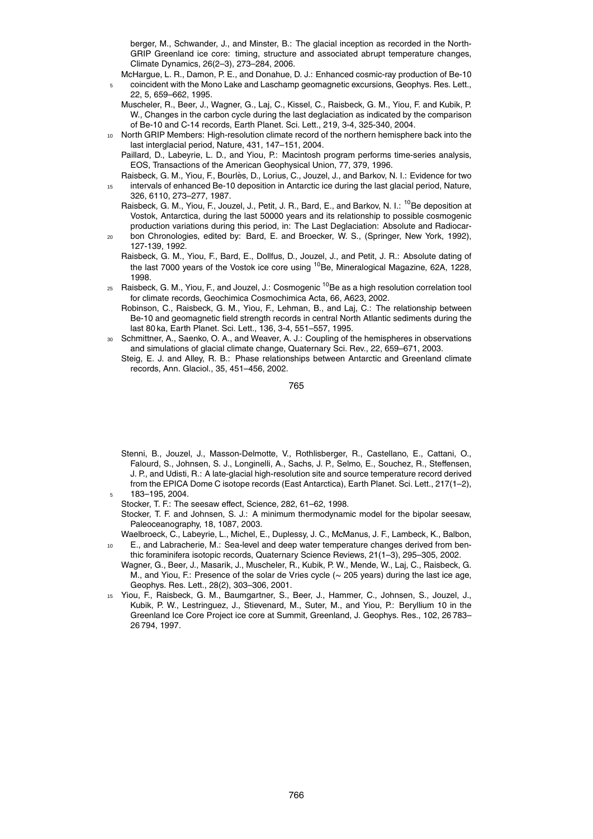berger, M., Schwander, J., and Minster, B.: The glacial inception as recorded in the North-GRIP Greenland ice core: timing, structure and associated abrupt temperature changes, Climate Dynamics, 26(2–3), 273–284, 2006.

- McHargue, L. R., Damon, P. E., and Donahue, D. J.: Enhanced cosmic-ray production of Be-10 <sup>5</sup> coincident with the Mono Lake and Laschamp geomagnetic excursions, Geophys. Res. Lett., 22, 5, 659–662, 1995.
	- Muscheler, R., Beer, J., Wagner, G., Laj, C., Kissel, C., Raisbeck, G. M., Yiou, F. and Kubik, P. W., Changes in the carbon cycle during the last deglaciation as indicated by the comparison of Be-10 and C-14 records, Earth Planet. Sci. Lett., 219, 3-4, 325-340, 2004.
- <sup>10</sup> North GRIP Members: High-resolution climate record of the northern hemisphere back into the last interglacial period, Nature, 431, 147–151, 2004.

Paillard, D., Labeyrie, L. D., and Yiou, P.: Macintosh program performs time-series analysis, EOS, Transactions of the American Geophysical Union, 77, 379, 1996.

- Raisbeck, G. M., Yiou, F., Bourlès, D., Lorius, C., Jouzel, J., and Barkov, N. I.: Evidence for two <sup>15</sup> intervals of enhanced Be-10 deposition in Antarctic ice during the last glacial period, Nature, 326, 6110, 273–277, 1987.
	- Raisbeck, G. M., Yiou, F., Jouzel, J., Petit, J. R., Bard, E., and Barkov, N. I.: <sup>10</sup>Be deposition at Vostok, Antarctica, during the last 50000 years and its relationship to possible cosmogenic production variations during this period, in: The Last Deglaciation: Absolute and Radiocar-
- <sup>20</sup> bon Chronologies, edited by: Bard, E. and Broecker, W. S., (Springer, New York, 1992), 127-139, 1992.
	- Raisbeck, G. M., Yiou, F., Bard, E., Dollfus, D., Jouzel, J., and Petit, J. R.: Absolute dating of the last 7000 years of the Vostok ice core using  $^{10}$ Be, Mineralogical Magazine, 62A, 1228, 1998.
- $_{25}$  Raisbeck, G. M., Yiou, F., and Jouzel, J.: Cosmogenic  $^{10}$ Be as a high resolution correlation tool for climate records, Geochimica Cosmochimica Acta, 66, A623, 2002.
	- Robinson, C., Raisbeck, G. M., Yiou, F., Lehman, B., and Laj, C.: The relationship between Be-10 and geomagnetic field strength records in central North Atlantic sediments during the last 80 ka, Earth Planet. Sci. Lett., 136, 3-4, 551–557, 1995.
- Schmittner, A., Saenko, O. A., and Weaver, A. J.: Coupling of the hemispheres in observations and simulations of glacial climate change, Quaternary Sci. Rev., 22, 659–671, 2003.
- Steig, E. J. and Alley, R. B.: Phase relationships between Antarctic and Greenland climate records, Ann. Glaciol., 35, 451–456, 2002.

765

Stenni, B., Jouzel, J., Masson-Delmotte, V., Rothlisberger, R., Castellano, E., Cattani, O., Falourd, S., Johnsen, S. J., Longinelli, A., Sachs, J. P., Selmo, E., Souchez, R., Steffensen, J. P., and Udisti, R.: A late-glacial high-resolution site and source temperature record derived from the EPICA Dome C isotope records (East Antarctica), Earth Planet. Sci. Lett., 217(1-2), <sup>5</sup> 183–195, 2004.

Stocker, T. F.: The seesaw effect, Science, 282, 61–62, 1998.

- Waelbroeck, C., Labeyrie, L., Michel, E., Duplessy, J. C., McManus, J. F., Lambeck, K., Balbon, E., and Labracherie, M.: Sea-level and deep water temperature changes derived from ben-
- thic foraminifera isotopic records, Quaternary Science Reviews, 21(1–3), 295–305, 2002. Wagner, G., Beer, J., Masarik, J., Muscheler, R., Kubik, P. W., Mende, W., Laj, C., Raisbeck, G. M., and Yiou, F.: Presence of the solar de Vries cycle (∼ 205 years) during the last ice age, Geophys. Res. Lett., 28(2), 303–306, 2001.
- <sup>15</sup> Yiou, F., Raisbeck, G. M., Baumgartner, S., Beer, J., Hammer, C., Johnsen, S., Jouzel, J., Kubik, P. W., Lestringuez, J., Stievenard, M., Suter, M., and Yiou, P.: Beryllium 10 in the Greenland Ice Core Project ice core at Summit, Greenland, J. Geophys. Res., 102, 26 783– 26 794, 1997.

Stocker, T. F. and Johnsen, S. J.: A minimum thermodynamic model for the bipolar seesaw, Paleoceanography, 18, 1087, 2003.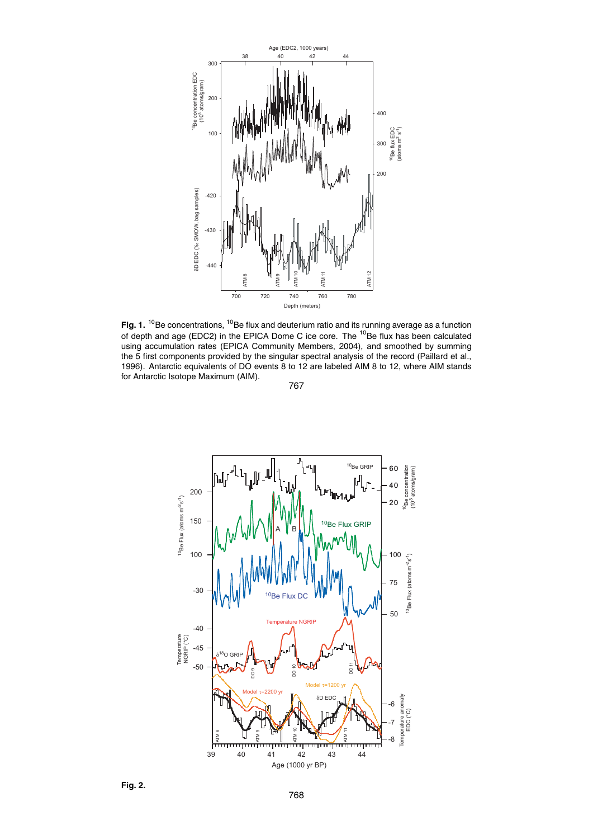

Fig. 1. <sup>10</sup>Be concentrations, <sup>10</sup>Be flux and deuterium ratio and its running average as a function of depth and age (EDC2) in the EPICA Dome C ice core. The <sup>10</sup>Be flux has been calculated using accumulation rates (EPICA Community Members, 2004), and smoothed by summing the 5 first components provided by the singular spectral analysis of the record (Paillard et al., 1996). Antarctic equivalents of DO events 8 to 12 are labeled AIM 8 to 12, where AIM stands for Antarctic Isotope Maximum (AIM).